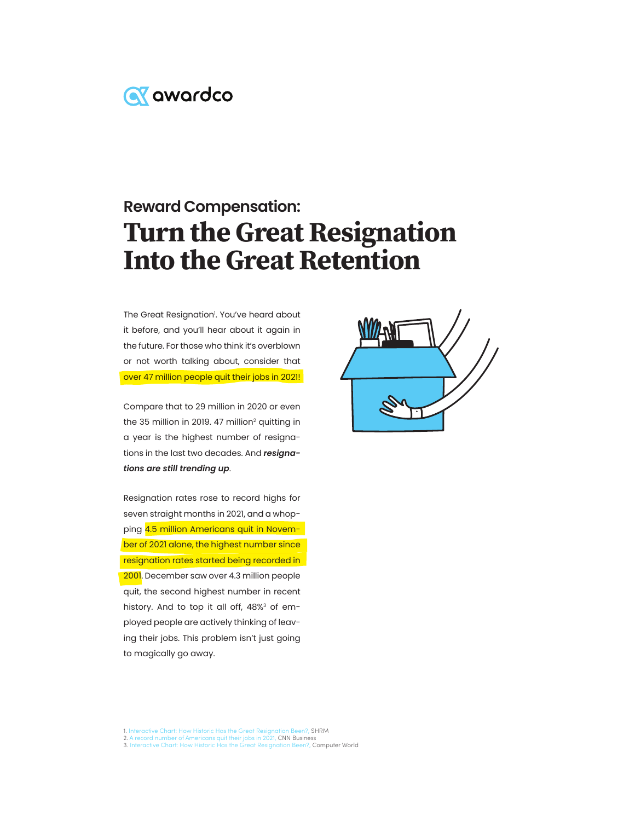

# **Reward Compensation:** Turn the Great Resignation Into the Great Retention

The Great Resignation'. You've heard about it before, and you'll hear about it again in the future. For those who think it's overblown or not worth talking about, consider that over 47 million people quit their jobs in 2021!

Compare that to 29 million in 2020 or even the 35 million in 2019. 47 million<sup>2</sup> quitting in a year is the highest number of resignations in the last two decades. And *resignations are still trending up*.

Resignation rates rose to record highs for seven straight months in 2021, and a whopping 4.5 million Americans quit in November of 2021 alone, the highest number since resignation rates started being recorded in 2001. December saw over 4.3 million people quit, the second highest number in recent history. And to top it all off, 48%<sup>3</sup> of employed people are actively thinking of leaving their jobs. This problem isn't just going to magically go away.



1. Interactive Chart: How Historic Has the Great Resignation Been?, SHRM<br>2. A record number of Americans quit their jobs in 2021, CNN Business<br>3. Interactive Chart: How Historic Has the Great Resignation Been?, Computer Wo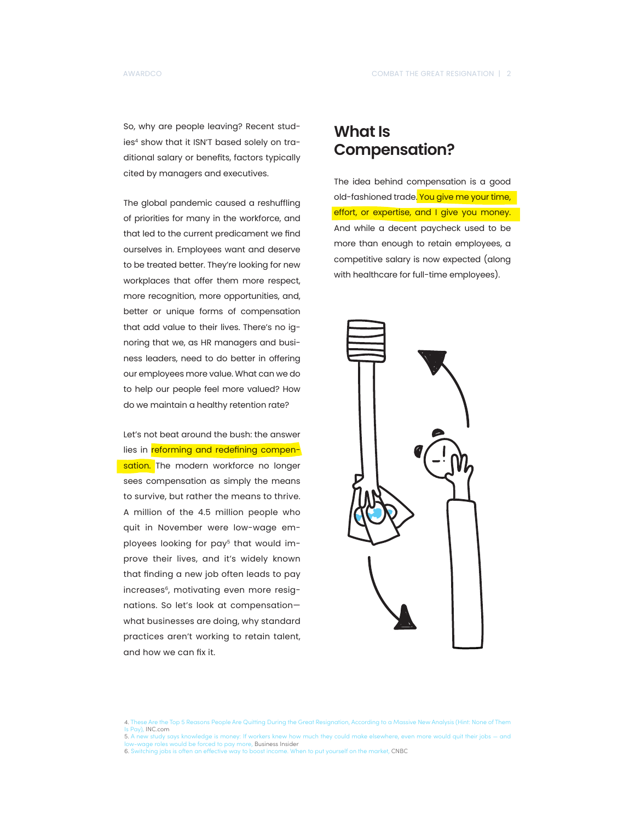So, why are people leaving? Recent studies<sup>4</sup> show that it ISN'T based solely on traditional salary or benefits, factors typically cited by managers and executives.

The global pandemic caused a reshuffling of priorities for many in the workforce, and that led to the current predicament we find ourselves in. Employees want and deserve to be treated better. They're looking for new workplaces that offer them more respect, more recognition, more opportunities, and, better or unique forms of compensation that add value to their lives. There's no ignoring that we, as HR managers and business leaders, need to do better in offering our employees more value. What can we do to help our people feel more valued? How do we maintain a healthy retention rate?

Let's not beat around the bush: the answer lies in reforming and redefining compensation. The modern workforce no longer sees compensation as simply the means to survive, but rather the means to thrive. A million of the 4.5 million people who quit in November were low-wage employees looking for pay<sup>5</sup> that would improve their lives, and it's widely known that finding a new job often leads to pay increases<sup>6</sup>, motivating even more resignations. So let's look at compensation what businesses are doing, why standard practices aren't working to retain talent, and how we can fix it.

#### **What Is Compensation?**

The idea behind compensation is a good old-fashioned trade. You give me your time, effort, or expertise, and I give you money. And while a decent paycheck used to be more than enough to retain employees, a competitive salary is now expected (along with healthcare for full-time employees).



- Is Pay), INC.com 5. A new study says knowledge is money: If workers knew how much they could make elsewhere, even more would quit their jobs — and
- wage roles would be forced to pay more, Business Insider
- 6. Switching jobs is often an effective way to boost income. When to put yourself on the market, CNBC

e the Top 5 Reasons People Are Quitting During the Great Resignation, According to a Massive New Analysis (Hint: None of Them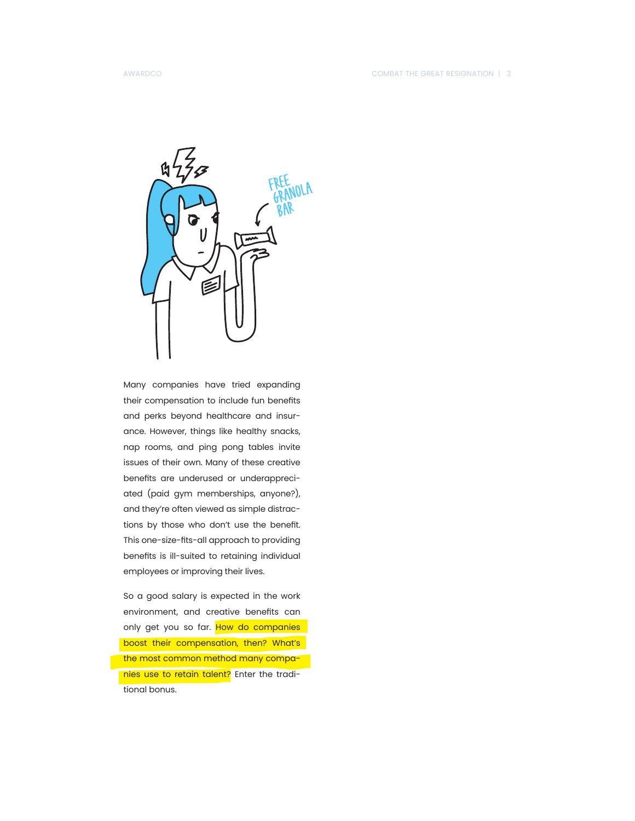

Many companies have tried expanding their compensation to include fun benefits and perks beyond healthcare and insurance. However, things like healthy snacks, nap rooms, and ping pong tables invite issues of their own. Many of these creative benefits are underused or underappreciated (paid gym memberships, anyone?), and they're often viewed as simple distractions by those who don't use the benefit. This one-size-fits-all approach to providing benefits is ill-suited to retaining individual employees or improving their lives.

So a good salary is expected in the work environment, and creative benefits can only get you so far. How do companies boost their compensation, then? What's the most common method many companies use to retain talent? Enter the traditional bonus.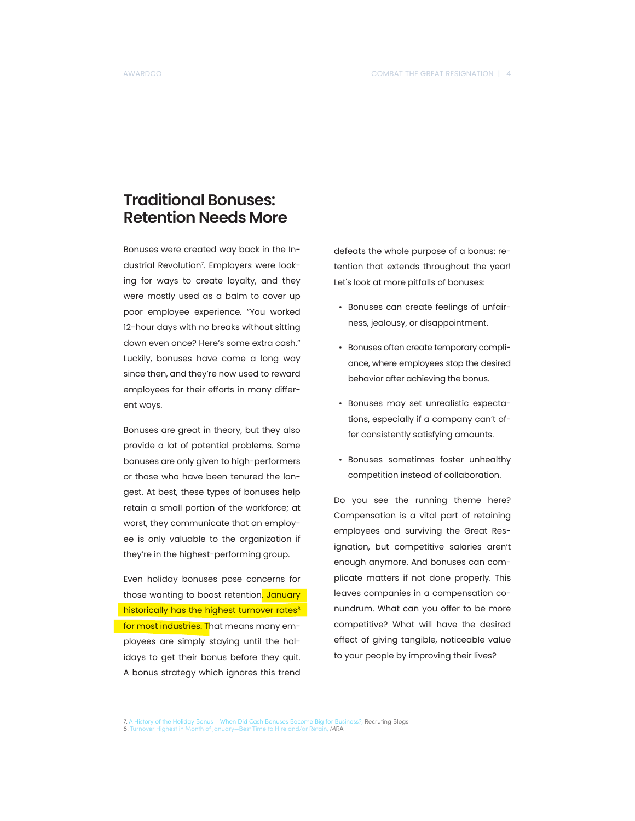## **Traditional Bonuses: Retention Needs More**

Bonuses were created way back in the Industrial Revolution7 . Employers were looking for ways to create loyalty, and they were mostly used as a balm to cover up poor employee experience. "You worked 12-hour days with no breaks without sitting down even once? Here's some extra cash." Luckily, bonuses have come a long way since then, and they're now used to reward employees for their efforts in many different ways.

Bonuses are great in theory, but they also provide a lot of potential problems. Some bonuses are only given to high-performers or those who have been tenured the longest. At best, these types of bonuses help retain a small portion of the workforce; at worst, they communicate that an employee is only valuable to the organization if they're in the highest-performing group.

Even holiday bonuses pose concerns for those wanting to boost retention. January historically has the highest turnover rates<sup>8</sup> for most industries. That means many employees are simply staying until the holidays to get their bonus before they quit. A bonus strategy which ignores this trend

defeats the whole purpose of a bonus: retention that extends throughout the year! Let's look at more pitfalls of bonuses:

- Bonuses can create feelings of unfairness, jealousy, or disappointment.
- Bonuses often create temporary compliance, where employees stop the desired behavior after achieving the bonus.
- Bonuses may set unrealistic expectations, especially if a company can't offer consistently satisfying amounts.
- Bonuses sometimes foster unhealthy competition instead of collaboration.

Do you see the running theme here? Compensation is a vital part of retaining employees and surviving the Great Resignation, but competitive salaries aren't enough anymore. And bonuses can complicate matters if not done properly. This leaves companies in a compensation conundrum. What can you offer to be more competitive? What will have the desired effect of giving tangible, noticeable value to your people by improving their lives?

7. A History of the Holiday Bonus – When Did Cash Bonuses Become Big for Business?, Recruting Blogs

<sup>8.</sup> Turnover Highest in Month of January—Best Time to Hire and/or Retain, MRA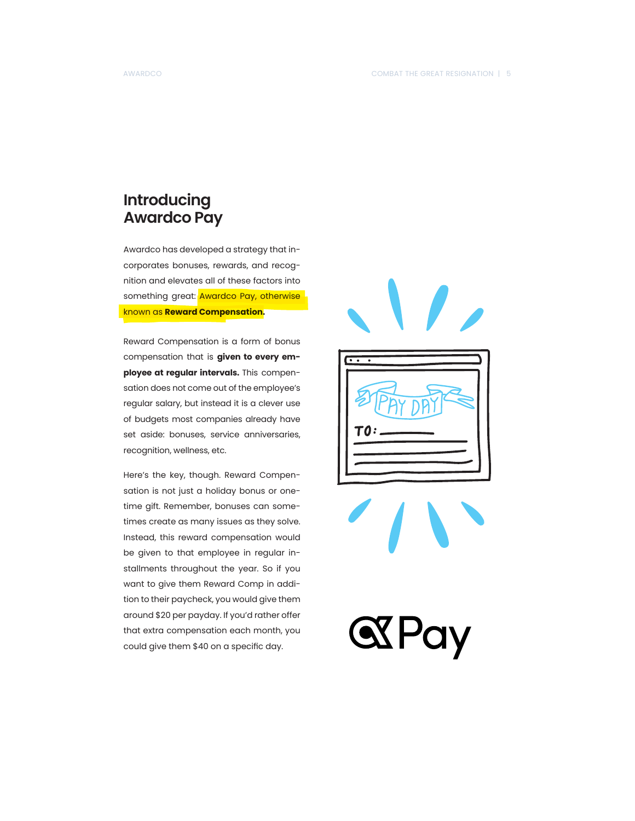## **Introducing Awardco Pay**

Awardco has developed a strategy that incorporates bonuses, rewards, and recognition and elevates all of these factors into something great: Awardco Pay, otherwise known as **Reward Compensation.**

Reward Compensation is a form of bonus compensation that is **given to every employee at regular intervals.** This compensation does not come out of the employee's regular salary, but instead it is a clever use of budgets most companies already have set aside: bonuses, service anniversaries, recognition, wellness, etc.

Here's the key, though. Reward Compensation is not just a holiday bonus or onetime gift. Remember, bonuses can sometimes create as many issues as they solve. Instead, this reward compensation would be given to that employee in regular installments throughout the year. So if you want to give them Reward Comp in addition to their paycheck, you would give them around \$20 per payday. If you'd rather offer that extra compensation each month, you could give them \$40 on a specific day.







**SXPay**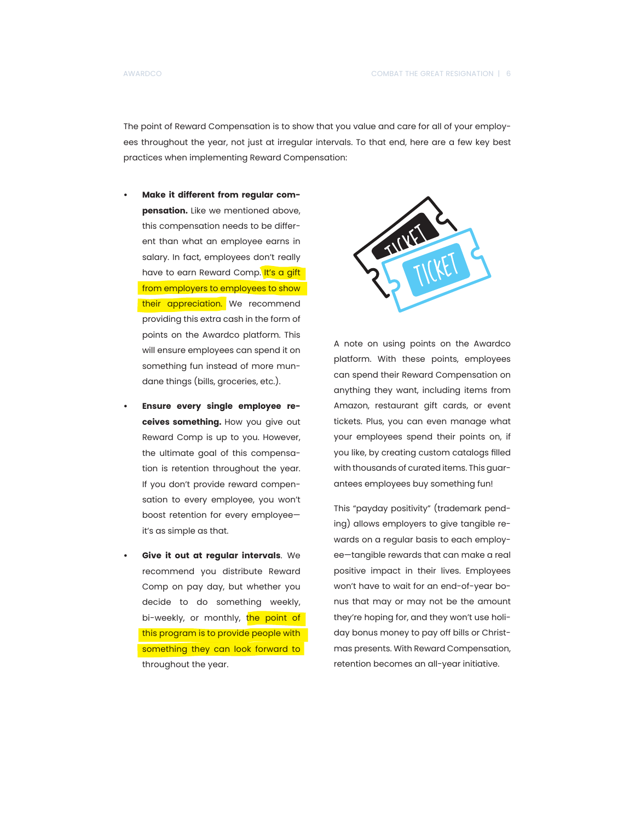The point of Reward Compensation is to show that you value and care for all of your employees throughout the year, not just at irregular intervals. To that end, here are a few key best practices when implementing Reward Compensation:

- **• Make it different from regular compensation.** Like we mentioned above, this compensation needs to be different than what an employee earns in salary. In fact, employees don't really have to earn Reward Comp. It's a gift from employers to employees to show their appreciation. We recommend providing this extra cash in the form of points on the Awardco platform. This will ensure employees can spend it on something fun instead of more mundane things (bills, groceries, etc.).
- **• Ensure every single employee receives something.** How you give out Reward Comp is up to you. However, the ultimate goal of this compensation is retention throughout the year. If you don't provide reward compensation to every employee, you won't boost retention for every employee it's as simple as that.
- **• Give it out at regular intervals**. We recommend you distribute Reward Comp on pay day, but whether you decide to do something weekly, bi-weekly, or monthly, the point of this program is to provide people with something they can look forward to throughout the year.



A note on using points on the Awardco platform. With these points, employees can spend their Reward Compensation on anything they want, including items from Amazon, restaurant gift cards, or event tickets. Plus, you can even manage what your employees spend their points on, if you like, by creating custom catalogs filled with thousands of curated items. This guarantees employees buy something fun!

This "payday positivity" (trademark pending) allows employers to give tangible rewards on a regular basis to each employee—tangible rewards that can make a real positive impact in their lives. Employees won't have to wait for an end-of-year bonus that may or may not be the amount they're hoping for, and they won't use holiday bonus money to pay off bills or Christmas presents. With Reward Compensation, retention becomes an all-year initiative.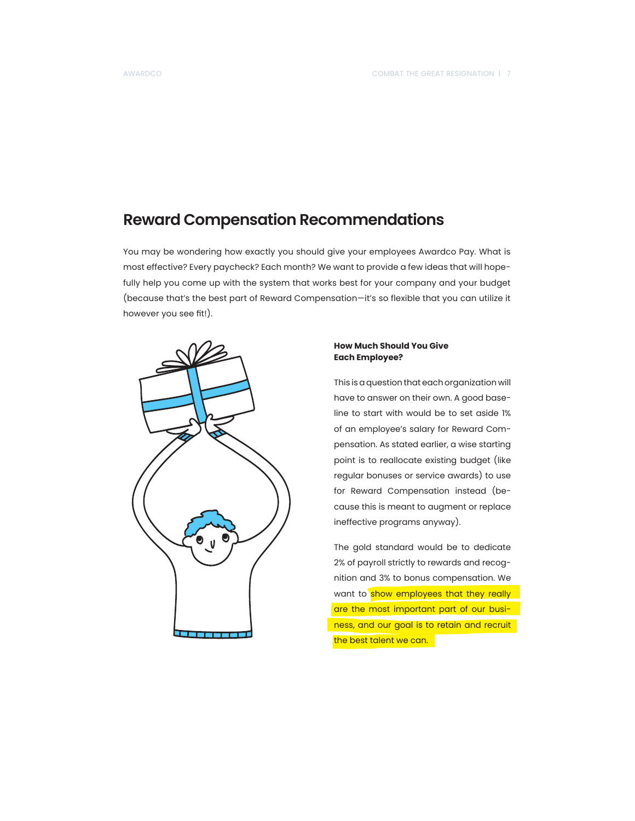## **Reward Compensation Recommendations**

You may be wondering how exactly you should give your employees Awardco Pay. What is most effective? Every paycheck? Each month? We want to provide a few ideas that will hopefully help you come up with the system that works best for your company and your budget (because that's the best part of Reward Compensation—it's so flexible that you can utilize it however you see fit!).



#### **How Much Should You Give Each Employee?**

This is a question that each organization will have to answer on their own. A good baseline to start with would be to set aside 1% of an employee's salary for Reward Compensation. As stated earlier, a wise starting point is to reallocate existing budget (like regular bonuses or service awards) to use for Reward Compensation instead (because this is meant to augment or replace ineffective programs anyway).

The gold standard would be to dedicate 2% of payroll strictly to rewards and recognition and 3% to bonus compensation. We want to show employees that they really are the most important part of our business, and our goal is to retain and recruit the best talent we can.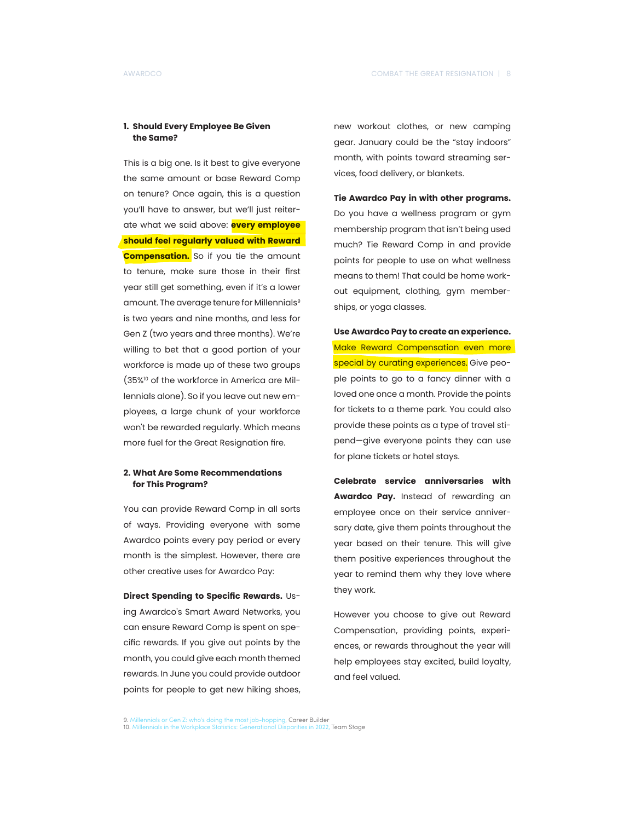#### **1. Should Every Employee Be Given the Same?**

This is a big one. Is it best to give everyone the same amount or base Reward Comp on tenure? Once again, this is a question you'll have to answer, but we'll just reiterate what we said above: **every employee should feel regularly valued with Reward Compensation.** So if you tie the amount to tenure, make sure those in their first year still get something, even if it's a lower amount. The average tenure for Millennials<sup>9</sup> is two years and nine months, and less for Gen Z (two years and three months). We're willing to bet that a good portion of your workforce is made up of these two groups (35%10 of the workforce in America are Millennials alone). So if you leave out new employees, a large chunk of your workforce won't be rewarded regularly. Which means more fuel for the Great Resignation fire.

#### **2. What Are Some Recommendations for This Program?**

You can provide Reward Comp in all sorts of ways. Providing everyone with some Awardco points every pay period or every month is the simplest. However, there are other creative uses for Awardco Pay:

**Direct Spending to Specific Rewards.** Using Awardco's Smart Award Networks, you can ensure Reward Comp is spent on specific rewards. If you give out points by the month, you could give each month themed rewards. In June you could provide outdoor points for people to get new hiking shoes, new workout clothes, or new camping gear. January could be the "stay indoors" month, with points toward streaming services, food delivery, or blankets.

**Tie Awardco Pay in with other programs.** Do you have a wellness program or gym membership program that isn't being used much? Tie Reward Comp in and provide points for people to use on what wellness means to them! That could be home workout equipment, clothing, gym memberships, or yoga classes.

**Use Awardco Pay to create an experience.** Make Reward Compensation even more special by curating experiences. Give people points to go to a fancy dinner with a loved one once a month. Provide the points for tickets to a theme park. You could also provide these points as a type of travel stipend—give everyone points they can use for plane tickets or hotel stays.

**Celebrate service anniversaries with Awardco Pay.** Instead of rewarding an employee once on their service anniversary date, give them points throughout the year based on their tenure. This will give them positive experiences throughout the year to remind them why they love where they work.

However you choose to give out Reward Compensation, providing points, experiences, or rewards throughout the year will help employees stay excited, build loyalty, and feel valued.

9. Millennials or Gen Z: who's doing the most job-hopping, Career Builder<br>10 Millennials in the Workplace Statistics: Generational Disparities in 2022, Team Stage

<sup>10.</sup> Millennials in the Workplace Statistics: Generation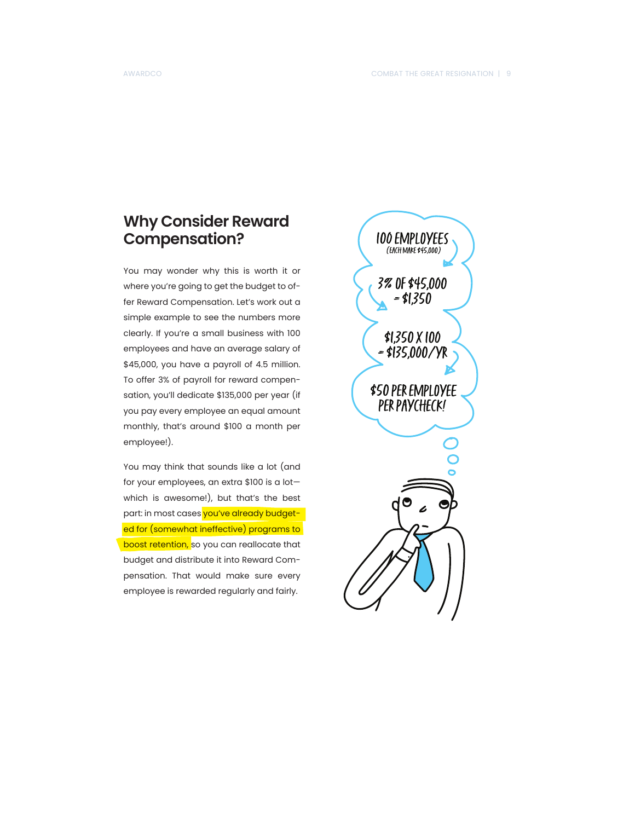## **Why Consider Reward Compensation?**

You may wonder why this is worth it or where you're going to get the budget to offer Reward Compensation. Let's work out a simple example to see the numbers more clearly. If you're a small business with 100 employees and have an average salary of \$45,000, you have a payroll of 4.5 million. To offer 3% of payroll for reward compensation, you'll dedicate \$135,000 per year (if you pay every employee an equal amount monthly, that's around \$100 a month per employee!).

You may think that sounds like a lot (and for your employees, an extra \$100 is a lot which is awesome!), but that's the best part: in most cases you've already budgeted for (somewhat ineffective) programs to boost retention, so you can reallocate that budget and distribute it into Reward Compensation. That would make sure every employee is rewarded regularly and fairly.

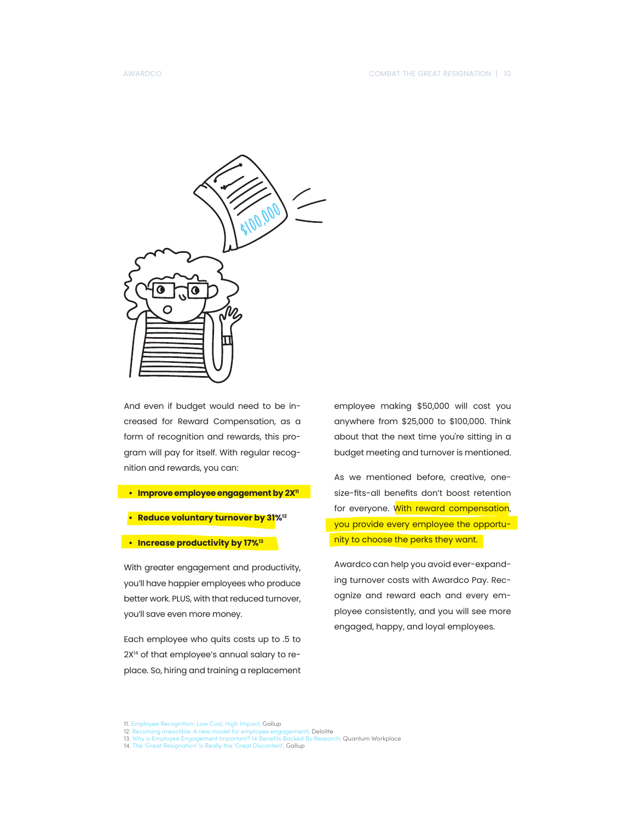

And even if budget would need to be increased for Reward Compensation, as a form of recognition and rewards, this program will pay for itself. With regular recognition and rewards, you can:

- **• Improve employee engagement by 2X11**
- **• Reduce voluntary turnover by 31%12**
- **• Increase productivity by 17%13**

With greater engagement and productivity, you'll have happier employees who produce better work. PLUS, with that reduced turnover, you'll save even more money.

Each employee who quits costs up to .5 to 2X<sup>14</sup> of that employee's annual salary to replace. So, hiring and training a replacement

employee making \$50,000 will cost you anywhere from \$25,000 to \$100,000. Think about that the next time you're sitting in a budget meeting and turnover is mentioned.

As we mentioned before, creative, onesize-fits-all benefits don't boost retention for everyone. With reward compensation, you provide every employee the opportunity to choose the perks they want.

Awardco can help you avoid ever-expanding turnover costs with Awardco Pay. Recognize and reward each and every employee consistently, and you will see more engaged, happy, and loyal employees.

11. Employee Recognition: Low Cost, High Impact, **Gallup**<br>12. Becoming irresistible: A new model for employee engagementt, **Deloitte**<br>13. Why is Employee Engagement Important? 14 Benefits Backed By Research, Quantum Workpl

<sup>14.</sup> The 'Great Resignation' Is Really the 'Great Discontent', Gallup